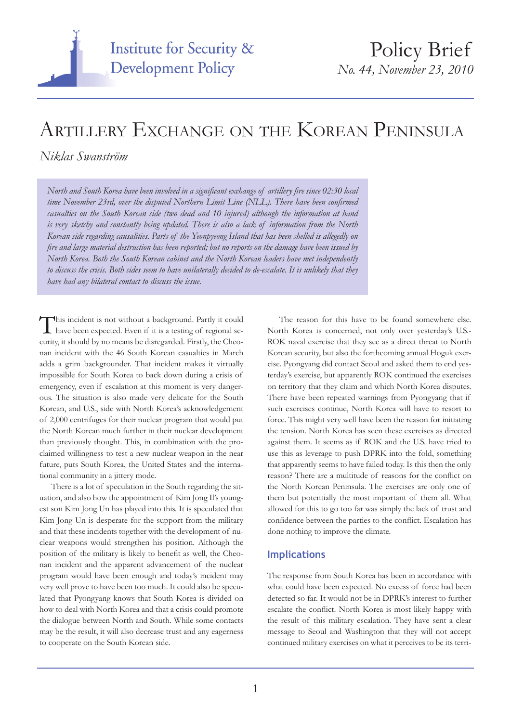

# ARTILLERY EXCHANGE ON THE KOREAN PENINSULA

### *Niklas Swanström*

*North and South Korea have been involved in a significant exchange of artillery fire since 02:30 local time November 23rd, over the disputed Northern Limit Line (NLL). There have been confirmed casualties on the South Korean side (two dead and 10 injured) although the information at hand is very sketchy and constantly being updated. There is also a lack of information from the North Korean side regarding causalities. Parts of the Yeonpyeong Island that has been shelled is allegedly on fire and large material destruction has been reported; but no reports on the damage have been issued by North Korea. Both the South Korean cabinet and the North Korean leaders have met independently to discuss the crisis. Both sides seem to have unilaterally decided to de-escalate. It is unlikely that they have had any bilateral contact to discuss the issue.*

This incident is not without a background. Partly it could have been expected. Even if it is a testing of regional security, it should by no means be disregarded. Firstly, the Cheonan incident with the 46 South Korean casualties in March adds a grim backgrounder. That incident makes it virtually impossible for South Korea to back down during a crisis of emergency, even if escalation at this moment is very dangerous. The situation is also made very delicate for the South Korean, and U.S., side with North Korea's acknowledgement of 2,000 centrifuges for their nuclear program that would put the North Korean much further in their nuclear development than previously thought. This, in combination with the proclaimed willingness to test a new nuclear weapon in the near future, puts South Korea, the United States and the international community in a jittery mode.

There is a lot of speculation in the South regarding the situation, and also how the appointment of Kim Jong Il's youngest son Kim Jong Un has played into this. It is speculated that Kim Jong Un is desperate for the support from the military and that these incidents together with the development of nuclear weapons would strengthen his position. Although the position of the military is likely to benefit as well, the Cheonan incident and the apparent advancement of the nuclear program would have been enough and today's incident may very well prove to have been too much. It could also be speculated that Pyongyang knows that South Korea is divided on how to deal with North Korea and that a crisis could promote the dialogue between North and South. While some contacts may be the result, it will also decrease trust and any eagerness to cooperate on the South Korean side.

The reason for this have to be found somewhere else. North Korea is concerned, not only over yesterday's U.S.- ROK naval exercise that they see as a direct threat to North Korean security, but also the forthcoming annual Hoguk exercise. Pyongyang did contact Seoul and asked them to end yesterday's exercise, but apparently ROK continued the exercises on territory that they claim and which North Korea disputes. There have been repeated warnings from Pyongyang that if such exercises continue, North Korea will have to resort to force. This might very well have been the reason for initiating the tension. North Korea has seen these exercises as directed against them. It seems as if ROK and the U.S. have tried to use this as leverage to push DPRK into the fold, something that apparently seems to have failed today. Is this then the only reason? There are a multitude of reasons for the conflict on the North Korean Peninsula. The exercises are only one of them but potentially the most important of them all. What allowed for this to go too far was simply the lack of trust and confidence between the parties to the conflict. Escalation has done nothing to improve the climate.

#### **Implications**

The response from South Korea has been in accordance with what could have been expected. No excess of force had been detected so far. It would not be in DPRK's interest to further escalate the conflict. North Korea is most likely happy with the result of this military escalation. They have sent a clear message to Seoul and Washington that they will not accept continued military exercises on what it perceives to be its terri-